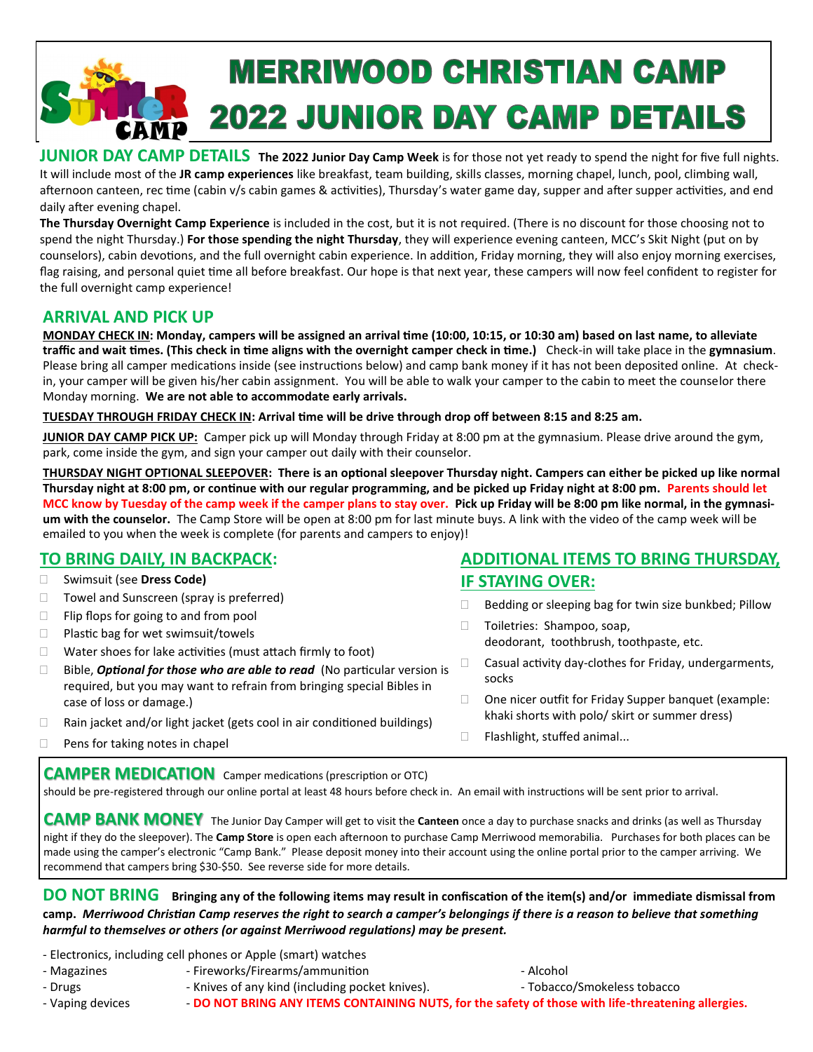# **MERRIWOOD CHRISTIAN CAMP 2022 JUNIOR DAY CAMP DETAILS**

**JUNIOR DAY CAMP DETAILS The 2022 Junior Day Camp Week** is for those not yet ready to spend the night for five full nights. It will include most of the **JR camp experiences** like breakfast, team building, skills classes, morning chapel, lunch, pool, climbing wall, afternoon canteen, rec time (cabin v/s cabin games & activities), Thursday's water game day, supper and after supper activities, and end daily after evening chapel.

**The Thursday Overnight Camp Experience** is included in the cost, but it is not required. (There is no discount for those choosing not to spend the night Thursday.) **For those spending the night Thursday**, they will experience evening canteen, MCC's Skit Night (put on by counselors), cabin devotions, and the full overnight cabin experience. In addition, Friday morning, they will also enjoy morning exercises, flag raising, and personal quiet time all before breakfast. Our hope is that next year, these campers will now feel confident to register for the full overnight camp experience!

# **ARRIVAL AND PICK UP**

**MONDAY CHECK IN: Monday, campers will be assigned an arrival time (10:00, 10:15, or 10:30 am) based on last name, to alleviate traffic and wait times. (This check in time aligns with the overnight camper check in time.)** Check-in will take place in the **gymnasium**. Please bring all camper medications inside (see instructions below) and camp bank money if it has not been deposited online. At checkin, your camper will be given his/her cabin assignment. You will be able to walk your camper to the cabin to meet the counselor there Monday morning. **We are not able to accommodate early arrivals.**

**TUESDAY THROUGH FRIDAY CHECK IN: Arrival time will be drive through drop off between 8:15 and 8:25 am.** 

**JUNIOR DAY CAMP PICK UP:** Camper pick up will Monday through Friday at 8:00 pm at the gymnasium. Please drive around the gym, park, come inside the gym, and sign your camper out daily with their counselor.

**THURSDAY NIGHT OPTIONAL SLEEPOVER: There is an optional sleepover Thursday night. Campers can either be picked up like normal Thursday night at 8:00 pm, or continue with our regular programming, and be picked up Friday night at 8:00 pm. Parents should let MCC know by Tuesday of the camp week if the camper plans to stay over. Pick up Friday will be 8:00 pm like normal, in the gymnasium with the counselor.** The Camp Store will be open at 8:00 pm for last minute buys. A link with the video of the camp week will be emailed to you when the week is complete (for parents and campers to enjoy)!

# **TO BRING DAILY, IN BACKPACK:**

- Swimsuit (see **Dress Code)**
- $\Box$  Towel and Sunscreen (spray is preferred)
- $\Box$  Flip flops for going to and from pool
- $\Box$  Plastic bag for wet swimsuit/towels
- $\Box$  Water shoes for lake activities (must attach firmly to foot)
- □ Bible, **Optional for those who are able to read** (No particular version is required, but you may want to refrain from bringing special Bibles in case of loss or damage.)
- $\Box$  Rain jacket and/or light jacket (gets cool in air conditioned buildings)
- $\Box$  Pens for taking notes in chapel

#### **CAMPER MEDICATION** Camper medications (prescription or OTC)

should be pre-registered through our online portal at least 48 hours before check in. An email with instructions will be sent prior to arrival.

**CAMP BANK MONEY** The Junior Day Camper will get to visit the **Canteen** once a day to purchase snacks and drinks (as well as Thursday night if they do the sleepover). The **Camp Store** is open each afternoon to purchase Camp Merriwood memorabilia. Purchases for both places can be made using the camper's electronic "Camp Bank." Please deposit money into their account using the online portal prior to the camper arriving. We recommend that campers bring \$30-\$50. See reverse side for more details.

**DO NOT BRING Bringing any of the following items may result in confiscation of the item(s) and/or immediate dismissal from camp.** *Merriwood Christian Camp reserves the right to search a camper's belongings if there is a reason to believe that something harmful to themselves or others (or against Merriwood regulations) may be present.*

- Electronics, including cell phones or Apple (smart) watches
- Magazines Fireworks/Firearms/ammunition Alcohol
- 
- Drugs  **Knives of any kind (including pocket knives).** Tobacco/Smokeless tobacco

# **ADDITIONAL ITEMS TO BRING THURSDAY, IF STAYING OVER:**

- $\Box$  Bedding or sleeping bag for twin size bunkbed; Pillow
- □ Toiletries: Shampoo, soap, deodorant, toothbrush, toothpaste, etc.
- □ Casual activity day-clothes for Friday, undergarments, socks
- $\Box$  One nicer outfit for Friday Supper banquet (example: khaki shorts with polo/ skirt or summer dress)

- Vaping devices - **DO NOT BRING ANY ITEMS CONTAINING NUTS, for the safety of those with life-threatening allergies.**

- - □ Flashlight, stuffed animal...
-